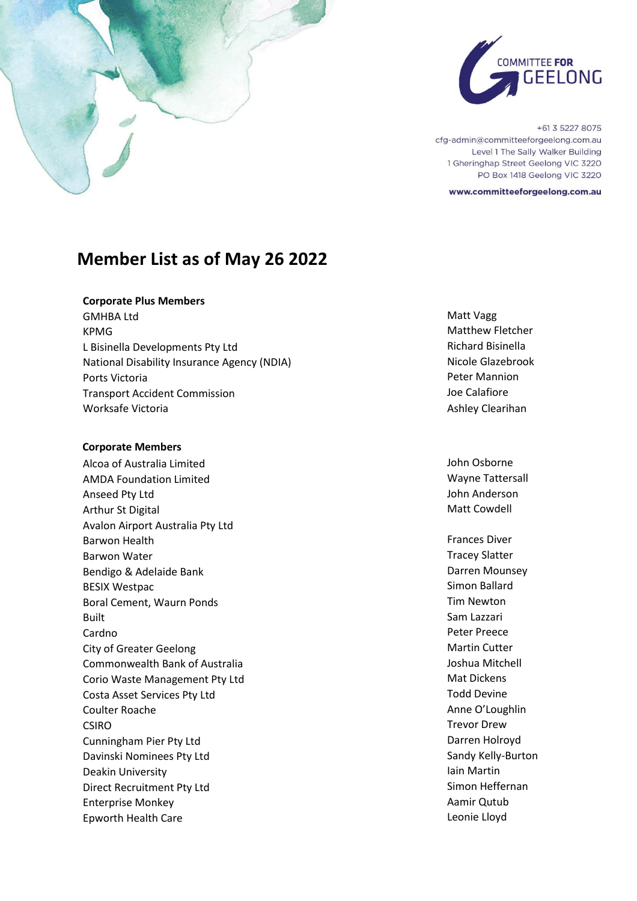

+61 3 5227 8075 cfg-admin@committeeforgeelong.com.au Level 1 The Sally Walker Building 1 Gheringhap Street Geelong VIC 3220 PO Box 1418 Geelong VIC 3220

www.committeeforgeelong.com.au

# **Member List as of May 26 2022**

## **Corporate Plus Members**

GMHBA Ltd **Matt Vagg** KPMG Matthew Fletcher L Bisinella Developments Pty Ltd **Richard Bisinella** National Disability Insurance Agency (NDIA) Nicole Glazebrook Ports Victoria **Ports Victoria** Peter Mannion Transport Accident Commission and Transport Accident Commission Worksafe Victoria **Ashley Clearihan** Ashley Clearihan

### **Corporate Members**

Alcoa of Australia Limited **John Osborne** John Osborne AMDA Foundation Limited Nation 2008 and 2009 Mayne Tattersall Anseed Pty Ltd **John Anderson** Arthur St Digital Matt Cowdell Avalon Airport Australia Pty Ltd Barwon Health Frances Diversity of the Barwon Health Frances Diversity of the Barwon Health Frances Diversity Barwon Water National Communication of the Communication of the Communication of the Tracey Slatter Bendigo & Adelaide Bank Darren Mounsey BESIX Westpac **Simon Ballard** Simon Ballard Boral Cement, Waurn Ponds Tim Newton Built **Sam Lazzari** Cardno Peter Preece City of Greater Geelong Martin Cutter Commonwealth Bank of Australia and a state of the United States of Australia Corio Waste Management Pty Ltd Mat Dickens Costa Asset Services Pty Ltd **Todd Devine** Coulter Roache **Anne O'Loughlin** CSIRO Trevor Drew Cunningham Pier Pty Ltd **Darren Hollow** Darren Holroyd Davinski Nominees Pty Ltd Sandy Kelly-Burton Deakin University **Iain Martin** Direct Recruitment Pty Ltd Simon Heffernan Enterprise Monkey **Admir Qutub Aamir Qutub Aamir Qutub** Epworth Health Care **Leonie Leaper** Controller Entertainment Controller Leonie Lloyd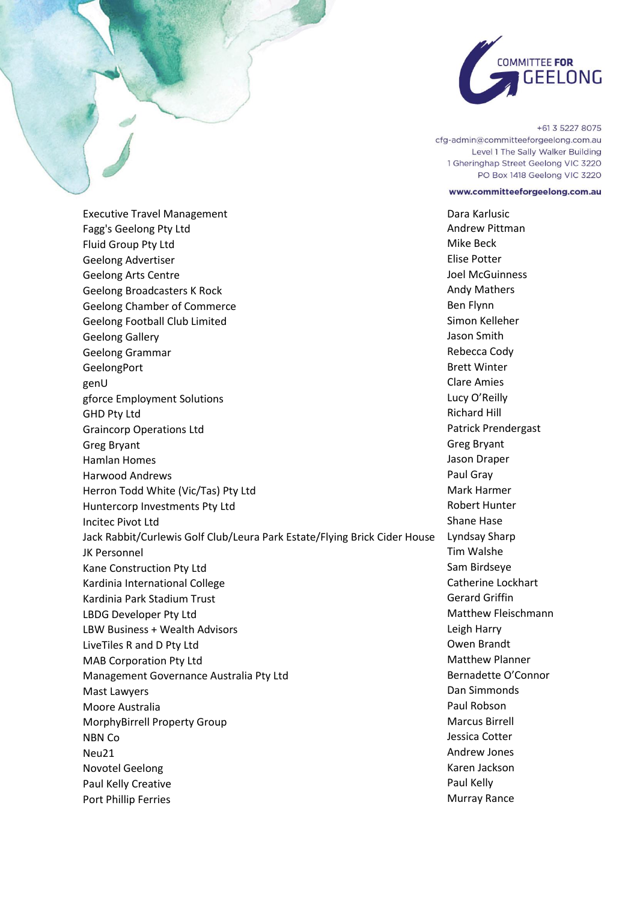

+61 3 5227 8075 cfg-admin@committeeforgeelong.com.au Level 1 The Sally Walker Building 1 Gheringhap Street Geelong VIC 3220 PO Box 1418 Geelong VIC 3220

#### www.committeeforgeelong.com.au

Port Phillip Ferries **Murray Rance** Murray Rance

Executive Travel Management **Dara Karlusic Dara Karlusic Dara Karlusic** Fagg's Geelong Pty Ltd **Andrew Pittman** Fluid Group Pty Ltd **Mike Beck** Geelong Advertiser **Elise Potter** Elise Potter Geelong Arts Centre **George Controllers** Geelong Arts Centre Geelong Broadcasters K Rock Andy Mathers Andy Mathers Andy Mathers Andy Mathers Andy Mathers Geelong Chamber of Commerce **Bene Flynn** Ben Flynn Geelong Football Club Limited Simon Kelleher Geelong Gallery **George School Smith** Geelong Gallery **Jason Smith** Geelong Grammar **Rebecca Cody** GeelongPort **Brett Winter** genU Clare Amies gforce Employment Solutions and the control of the control of the control of the control of the control of the control of the control of the control of the control of the control of the control of the control of the contro GHD Pty Ltd **Richard Hill** Graincorp Operations Ltd **Patrick Prendergast** Patrick Prendergast Greg Bryant Greg Bryant Greg Bryant Greg Bryant Greg Bryant Greg Bryant Greg Bryant Greg Bryant Greg Bryant G Hamlan Homes Jason Draper Harwood Andrews **Paul Gray** Herron Todd White (Vic/Tas) Pty Ltd Mark Harmer Mark Harmer Huntercorp Investments Pty Ltd **Robert Hunter** Robert Hunter Incited Pivot Ltd Shane Hase Shane Hase Shane Hase Shane Hase Shane Hase Shane Hase Shane Hase Shane Hase Shane Hase Jack Rabbit/Curlewis Golf Club/Leura Park Estate/Flying Brick Cider House Lyndsay Sharp JK Personnel Tim Walshe Kane Construction Pty Ltd Sam Birdseye Construction Pty Ltd Sam Birdseye Kardinia International College Catherine Lockhart Kardinia Park Stadium Trust Gerard Griffin LBDG Developer Pty Ltd Matthew Fleischmann LBW Business + Wealth Advisors **Leap Act and Server Advisors** Leigh Harry LiveTiles R and D Pty Ltd **Community** Community Community Community Community Community Community Community Community Community Community Community Community Community Community Community Community Community Community Comm MAB Corporation Pty Ltd Matthew Planner Management Governance Australia Pty Ltd Bernadette O'Connor Mast Lawyers **Dan Simmonds** Moore Australia and a part of the extension of the Paul Robson MorphyBirrell Property Group Marcus Birrell NBN Co Jessica Cotter Neu21 Andrew Jones **Andrew Jones** Andrew Jones **Andrew Jones** Andrew Jones **Andrew Jones** Novotel Geelong Karen Jackson Paul Kelly Creative **Paul Kelly Paul Kelly**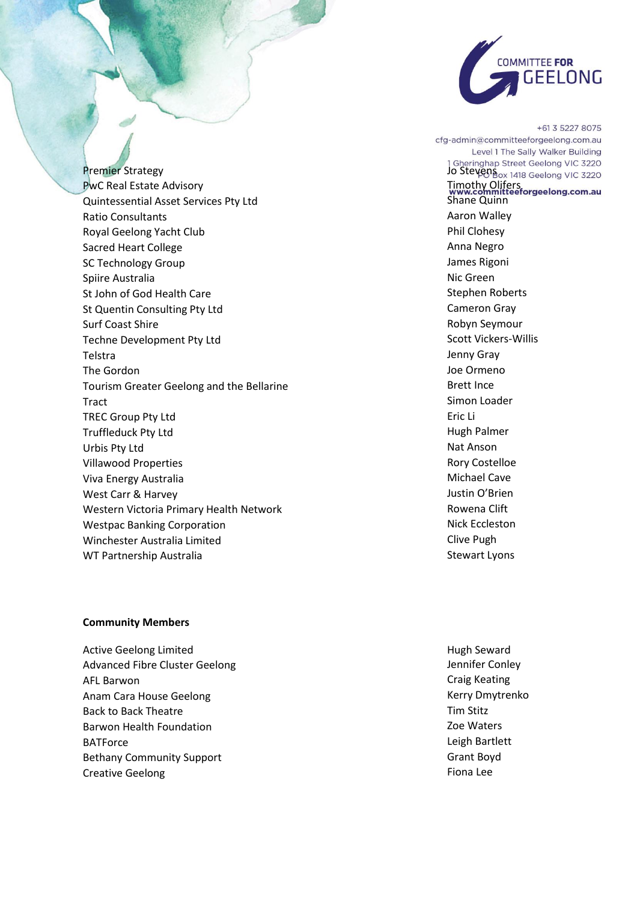

Premier Strategy<br>
Premier Strategy<br>
PwC Real Estate Advisory<br>
PwC Real Estate Advisory<br>
PwC Real Estate Advisory<br>
PwC Real Estate Advisory<br>
PwC Real Estate Advisory PwC Real Estate Advisory Quintessential Asset Services Pty Ltd Shane Quinn Ratio Consultants **Aaron Walley Aaron Walley Aaron Walley** Royal Geelong Yacht Club **Phil Clohesy** Phil Clohesy Sacred Heart College **Anna Negro** Anna Negro SC Technology Group **James Rigoni** James Rigoni Spiire Australia Nicolae Australia Nicolae Australia Nicolae Australia Nicolae Australia Nicolae Australia Nicolae Australia Nicolae Australia Nicolae Australia Nicolae Australia Nicolae Australia Nicolae Australia Nicolae St John of God Health Care Stephen Roberts St Quentin Consulting Pty Ltd Cameron Gray Surf Coast Shire **New York Struck Seymour** Surf Coast Shire Robyn Seymour Techne Development Pty Ltd Scott Vickers-Willis Telstra Jenny Gray and Telstra Jenny Gray and Telstra Jenny Gray and Jenny Gray and Jenny Gray and Jenny Gray The Gordon Joe Ormeno Tourism Greater Geelong and the Bellarine Brett Ince **Tract** Simon Loader (1999) and the state of the state of the Simon Loader (1999) and the Simon Loader (1999) and the Simon Loader (1999) and the Simon Loader (1999) and the Simon Loader (1999) and the Simon Loader (1999) TREC Group Pty Ltd **Example 2018** Eric Li Truffleduck Pty Ltd **Hugh Palmer Hugh Palmer** Urbis Pty Ltd Nat Anson Nat Anson Nat Anson Nat Anson Nat Anson Nat Anson Nat Anson Nat Anson Nat Anson Nat Anso Villawood Properties **Roman Control Control Control Control Control Control Control Control Control Control Control Control Control Control Control Control Control Control Control Control Control Control Control Control Co** Viva Energy Australia and Michael Cave West Carr & Harvey **Accord Contract Carr & Harvey** Justin O'Brien Western Victoria Primary Health Network **Rowena Clift** Westpac Banking Corporation Nick Eccleston Nick Eccleston Winchester Australia Limited **Clive Pughter Australia Limited** Clive Pughter **Clive Pughter** WT Partnership Australia Stewart Lyons

### **Community Members**

Active Geelong Limited **Hugh Seward Hugh Seward** Advanced Fibre Cluster Geelong and a settlement of the settlement of the Mennifer Conley AFL Barwon **Craig Keating** Craig Keating Craig Keating Craig Keating Craig Keating Craig Keating Craig Keating Craig Keating Craig Keating Craig Keating Craig Keating Craig Keating Craig Keating Craig Keating Craig Keating Anam Cara House Geelong Kerry Dmytrenko Back to Back Theatre Tim Stitz Barwon Health Foundation **Network Communist Communist Communist Communist Communist Communist Communist Communist** BATForce Leigh Bartlett Controller Controller Controller Controller Controller Controller Controller Controller Controller Controller Controller Controller Controller Controller Controller Controller Controller Controller Bethany Community Support Grant Boyd Creative Geelong **Fional Lee** 

+61 3 5227 8075 cfg-admin@committeeforgeelong.com.au Level 1 The Sally Walker Building